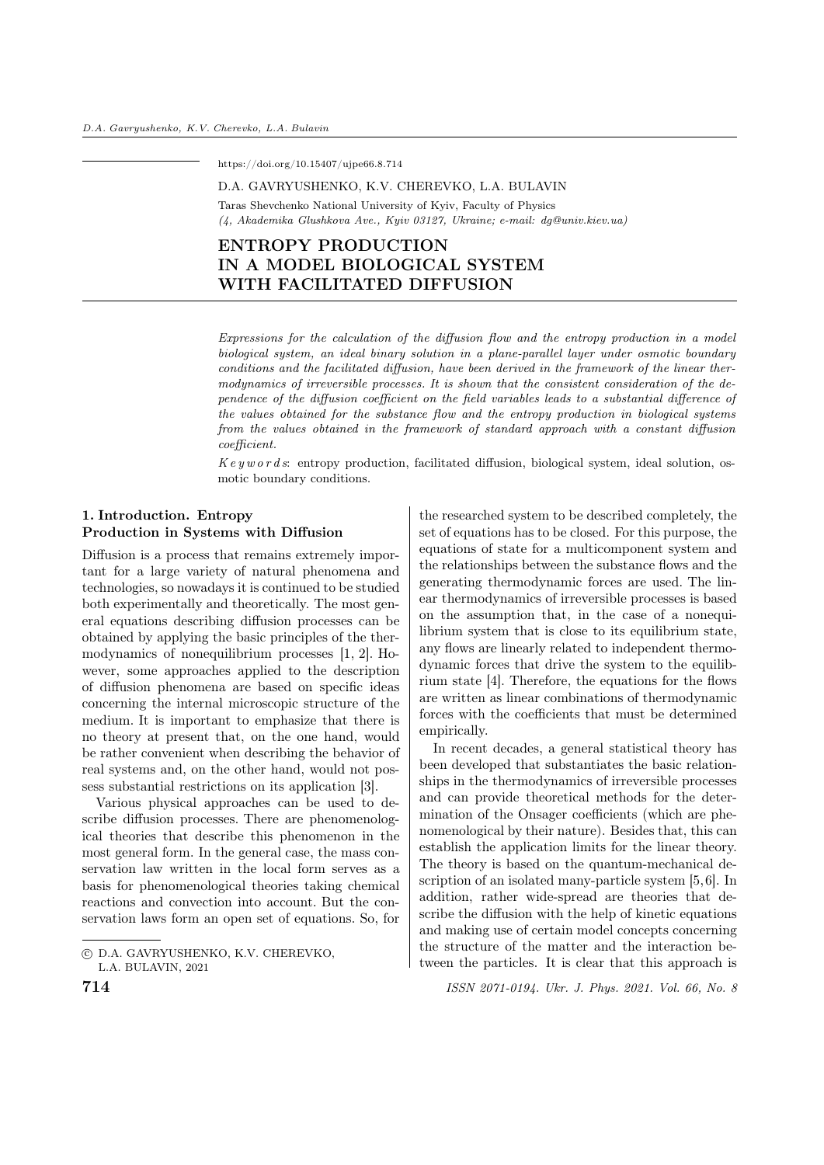https://doi.org/10.15407/ujpe66.8.714

#### D.A. GAVRYUSHENKO, K.V. CHEREVKO, L.A. BULAVIN

Taras Shevchenko National University of Kyiv, Faculty of Physics (4, Akademika Glushkova Ave., Kyiv 03127, Ukraine; e-mail: dg@univ.kiev.ua)

# ENTROPY PRODUCTION IN A MODEL BIOLOGICAL SYSTEM WITH FACILITATED DIFFUSION

Expressions for the calculation of the diffusion flow and the entropy production in a model biological system, an ideal binary solution in a plane-parallel layer under osmotic boundary conditions and the facilitated diffusion, have been derived in the framework of the linear thermodynamics of irreversible processes. It is shown that the consistent consideration of the dependence of the diffusion coefficient on the field variables leads to a substantial difference of the values obtained for the substance flow and the entropy production in biological systems from the values obtained in the framework of standard approach with a constant diffusion coefficient.

 $Key words:$  entropy production, facilitated diffusion, biological system, ideal solution, osmotic boundary conditions.

## 1. Introduction. Entropy Production in Systems with Diffusion

Diffusion is a process that remains extremely important for a large variety of natural phenomena and technologies, so nowadays it is continued to be studied both experimentally and theoretically. The most general equations describing diffusion processes can be obtained by applying the basic principles of the thermodynamics of nonequilibrium processes [1, 2]. However, some approaches applied to the description of diffusion phenomena are based on specific ideas concerning the internal microscopic structure of the medium. It is important to emphasize that there is no theory at present that, on the one hand, would be rather convenient when describing the behavior of real systems and, on the other hand, would not possess substantial restrictions on its application [3].

Various physical approaches can be used to describe diffusion processes. There are phenomenological theories that describe this phenomenon in the most general form. In the general case, the mass conservation law written in the local form serves as a basis for phenomenological theories taking chemical reactions and convection into account. But the conservation laws form an open set of equations. So, for

the researched system to be described completely, the set of equations has to be closed. For this purpose, the equations of state for a multicomponent system and the relationships between the substance flows and the generating thermodynamic forces are used. The linear thermodynamics of irreversible processes is based on the assumption that, in the case of a nonequilibrium system that is close to its equilibrium state, any flows are linearly related to independent thermodynamic forces that drive the system to the equilibrium state [4]. Therefore, the equations for the flows are written as linear combinations of thermodynamic forces with the coefficients that must be determined empirically.

In recent decades, a general statistical theory has been developed that substantiates the basic relationships in the thermodynamics of irreversible processes and can provide theoretical methods for the determination of the Onsager coefficients (which are phenomenological by their nature). Besides that, this can establish the application limits for the linear theory. The theory is based on the quantum-mechanical description of an isolated many-particle system [5,6]. In addition, rather wide-spread are theories that describe the diffusion with the help of kinetic equations and making use of certain model concepts concerning the structure of the matter and the interaction between the particles. It is clear that this approach is

<sup>○</sup>c D.A. GAVRYUSHENKO, K.V. CHEREVKO, L.A. BULAVIN, 2021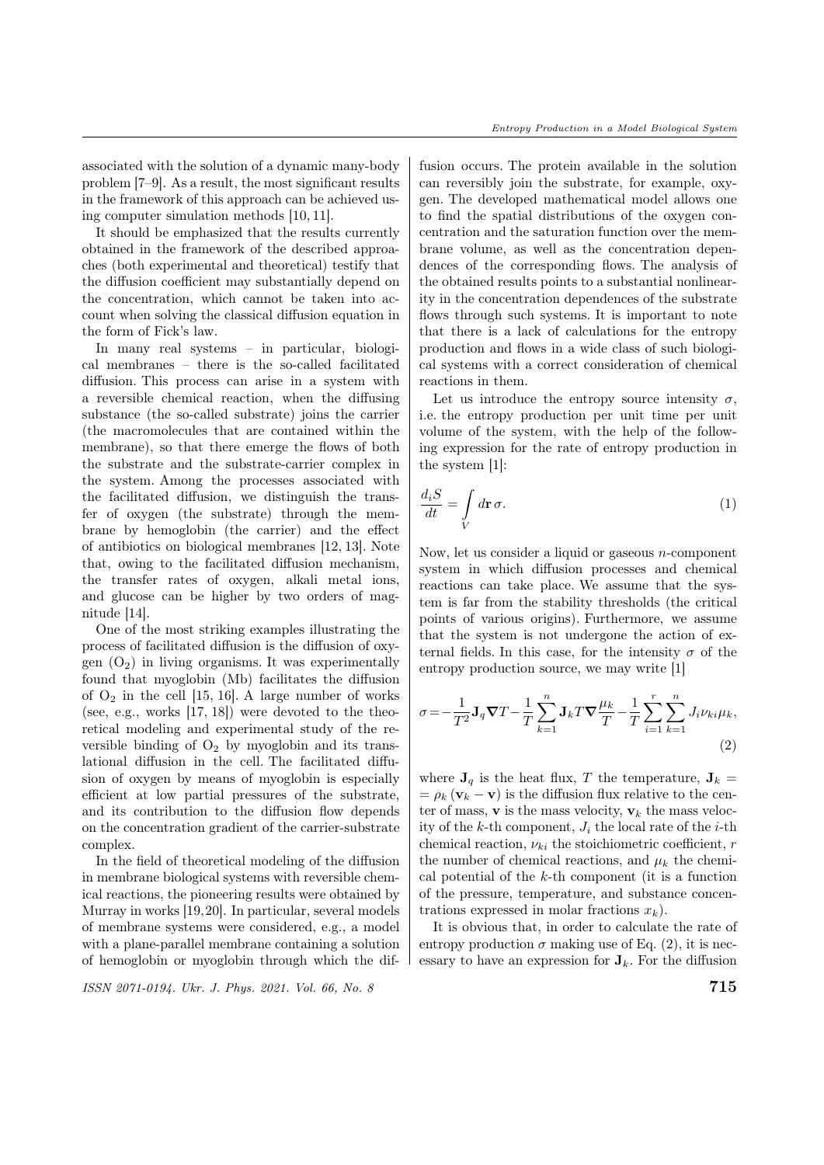associated with the solution of a dynamic many-body problem [7–9]. As a result, the most significant results in the framework of this approach can be achieved using computer simulation methods [10, 11].

It should be emphasized that the results currently obtained in the framework of the described approaches (both experimental and theoretical) testify that the diffusion coefficient may substantially depend on the concentration, which cannot be taken into account when solving the classical diffusion equation in the form of Fick's law.

In many real systems – in particular, biological membranes – there is the so-called facilitated diffusion. This process can arise in a system with a reversible chemical reaction, when the diffusing substance (the so-called substrate) joins the carrier (the macromolecules that are contained within the membrane), so that there emerge the flows of both the substrate and the substrate-carrier complex in the system. Among the processes associated with the facilitated diffusion, we distinguish the transfer of oxygen (the substrate) through the membrane by hemoglobin (the carrier) and the effect of antibiotics on biological membranes [12, 13]. Note that, owing to the facilitated diffusion mechanism, the transfer rates of oxygen, alkali metal ions, and glucose can be higher by two orders of magnitude [14].

One of the most striking examples illustrating the process of facilitated diffusion is the diffusion of oxygen  $(O_2)$  in living organisms. It was experimentally found that myoglobin (Mb) facilitates the diffusion of  $O_2$  in the cell [15, 16]. A large number of works (see, e.g., works [17, 18]) were devoted to the theoretical modeling and experimental study of the reversible binding of  $O_2$  by myoglobin and its translational diffusion in the cell. The facilitated diffusion of oxygen by means of myoglobin is especially efficient at low partial pressures of the substrate, and its contribution to the diffusion flow depends on the concentration gradient of the carrier-substrate complex.

In the field of theoretical modeling of the diffusion in membrane biological systems with reversible chemical reactions, the pioneering results were obtained by Murray in works [19,20]. In particular, several models of membrane systems were considered, e.g., a model with a plane-parallel membrane containing a solution of hemoglobin or myoglobin through which the dif-

 $\frac{1}{2}$  ISSN 2071-0194. Ukr. J. Phys. 2021. Vol. 66, No. 8 715

fusion occurs. The protein available in the solution can reversibly join the substrate, for example, oxygen. The developed mathematical model allows one to find the spatial distributions of the oxygen concentration and the saturation function over the membrane volume, as well as the concentration dependences of the corresponding flows. The analysis of the obtained results points to a substantial nonlinearity in the concentration dependences of the substrate flows through such systems. It is important to note that there is a lack of calculations for the entropy production and flows in a wide class of such biological systems with a correct consideration of chemical reactions in them.

Let us introduce the entropy source intensity  $\sigma$ , i.e. the entropy production per unit time per unit volume of the system, with the help of the following expression for the rate of entropy production in the system [1]:

$$
\frac{d_i S}{dt} = \int\limits_V d\mathbf{r} \,\sigma. \tag{1}
$$

Now, let us consider a liquid or gaseous  $n$ -component system in which diffusion processes and chemical reactions can take place. We assume that the system is far from the stability thresholds (the critical points of various origins). Furthermore, we assume that the system is not undergone the action of external fields. In this case, for the intensity  $\sigma$  of the entropy production source, we may write [1]

$$
\sigma = -\frac{1}{T^2} \mathbf{J}_q \nabla T - \frac{1}{T} \sum_{k=1}^n \mathbf{J}_k T \nabla \frac{\mu_k}{T} - \frac{1}{T} \sum_{i=1}^r \sum_{k=1}^n J_i \nu_{ki} \mu_k,
$$
\n(2)

where  $J_q$  is the heat flux, T the temperature,  $J_k =$  $= \rho_k (\mathbf{v}_k - \mathbf{v})$  is the diffusion flux relative to the center of mass, **v** is the mass velocity,  $v_k$  the mass velocity of the  $k$ -th component,  $J_i$  the local rate of the *i*-th chemical reaction,  $\nu_{ki}$  the stoichiometric coefficient, r the number of chemical reactions, and  $\mu_k$  the chemical potential of the  $k$ -th component (it is a function of the pressure, temperature, and substance concentrations expressed in molar fractions  $x_k$ ).

It is obvious that, in order to calculate the rate of entropy production  $\sigma$  making use of Eq. (2), it is necessary to have an expression for  $J_k$ . For the diffusion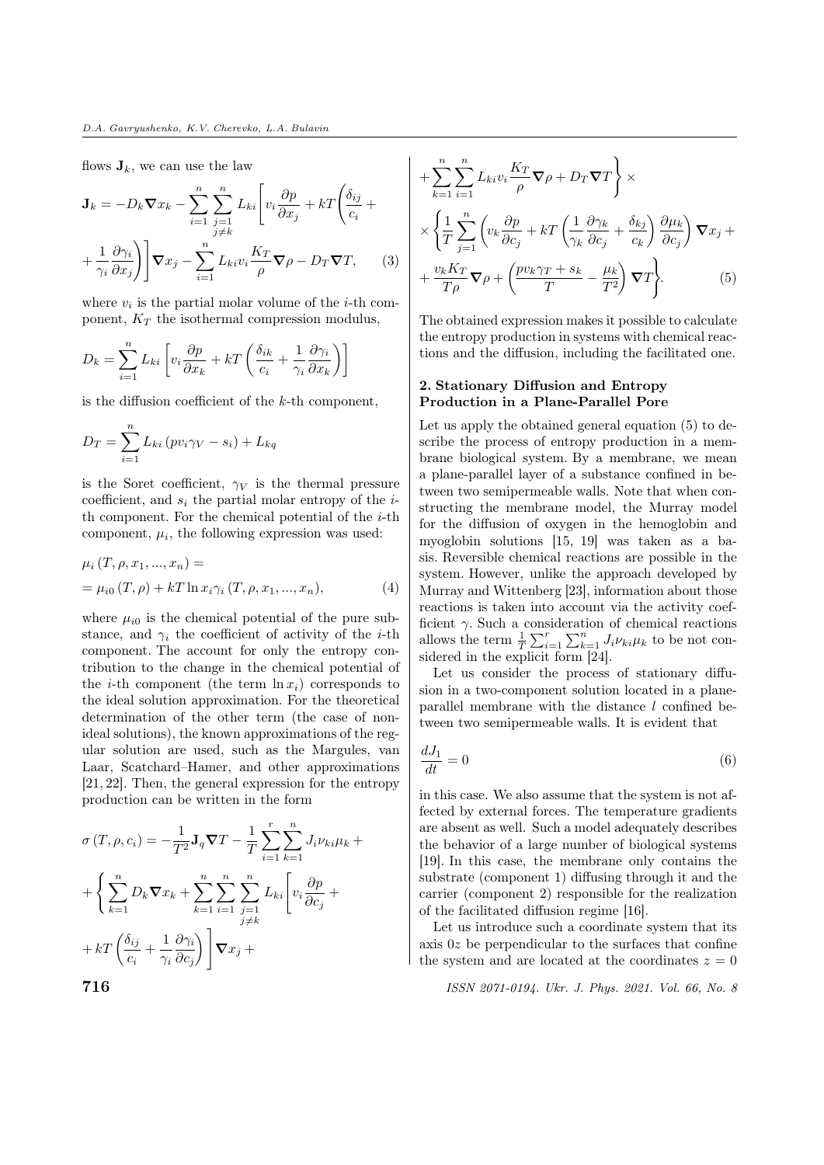flows  $\mathbf{J}_k$ , we can use the law

$$
\mathbf{J}_k = -D_k \nabla x_k - \sum_{i=1}^n \sum_{\substack{j=1 \ j \neq k}}^n L_{ki} \left[ v_i \frac{\partial p}{\partial x_j} + kT \left( \frac{\delta_{ij}}{c_i} + \frac{1}{\gamma_i} \frac{\partial \gamma_i}{\partial x_j} \right) \right] \nabla x_j - \sum_{i=1}^n L_{ki} v_i \frac{K_T}{\rho} \nabla \rho - D_T \nabla T, \qquad (3)
$$

where  $v_i$  is the partial molar volume of the *i*-th component,  $K_T$  the isothermal compression modulus,

$$
D_k = \sum_{i=1}^n L_{ki} \left[ v_i \frac{\partial p}{\partial x_k} + kT \left( \frac{\delta_{ik}}{c_i} + \frac{1}{\gamma_i} \frac{\partial \gamma_i}{\partial x_k} \right) \right]
$$

is the diffusion coefficient of the  $k$ -th component,

$$
D_T = \sum_{i=1}^{n} L_{ki} (pv_i \gamma_V - s_i) + L_{kq}
$$

is the Soret coefficient,  $\gamma_V$  is the thermal pressure coefficient, and  $s_i$  the partial molar entropy of the  $i$ th component. For the chemical potential of the  $i$ -th component,  $\mu_i$ , the following expression was used:

$$
\mu_i(T, \rho, x_1, ..., x_n) =
$$
  
=  $\mu_{i0}(T, \rho) + kT \ln x_i \gamma_i (T, \rho, x_1, ..., x_n),$  (4)

where  $\mu_{i0}$  is the chemical potential of the pure substance, and  $\gamma_i$  the coefficient of activity of the *i*-th component. The account for only the entropy contribution to the change in the chemical potential of the *i*-th component (the term  $\ln x_i$ ) corresponds to the ideal solution approximation. For the theoretical determination of the other term (the case of nonideal solutions), the known approximations of the regular solution are used, such as the Margules, van Laar, Scatchard–Hamer, and other approximations [21, 22]. Then, the general expression for the entropy production can be written in the form

$$
\sigma(T, \rho, c_i) = -\frac{1}{T^2} \mathbf{J}_q \nabla T - \frac{1}{T} \sum_{i=1}^r \sum_{k=1}^n J_i \nu_{ki} \mu_k + \begin{cases} \sum_{k=1}^n D_k \nabla x_k + \sum_{k=1}^n \sum_{i=1}^n \sum_{\substack{j=1 \ j \neq k}}^n L_{ki} \left[ v_i \frac{\partial p}{\partial c_j} + \frac{\partial f}{\partial c_j} \frac{\partial p}{\partial c_j} + \frac{\partial f}{\partial c_j} \frac{\partial p}{\partial c_j} \right] \mathbf{\nabla} x_j + \end{cases}
$$
\n
$$
+ kT \left( \frac{\delta_{ij}}{c_i} + \frac{1}{\gamma_i} \frac{\partial \gamma_i}{\partial c_j} \right) \mathbf{\nabla} x_j +
$$

$$
+\sum_{k=1}^{n} \sum_{i=1}^{n} L_{ki} v_i \frac{K_T}{\rho} \nabla \rho + D_T \nabla T \Bigg\} \times
$$
  

$$
\times \left\{ \frac{1}{T} \sum_{j=1}^{n} \left( v_k \frac{\partial p}{\partial c_j} + kT \left( \frac{1}{\gamma_k} \frac{\partial \gamma_k}{\partial c_j} + \frac{\delta_{kj}}{c_k} \right) \frac{\partial \mu_k}{\partial c_j} \right) \nabla x_j +
$$
  

$$
+ \frac{v_k K_T}{T \rho} \nabla \rho + \left( \frac{p v_k \gamma_T + s_k}{T} - \frac{\mu_k}{T^2} \right) \nabla T \Bigg\}.
$$
 (5)

The obtained expression makes it possible to calculate the entropy production in systems with chemical reactions and the diffusion, including the facilitated one.

# 2. Stationary Diffusion and Entropy Production in a Plane-Parallel Pore

Let us apply the obtained general equation (5) to describe the process of entropy production in a membrane biological system. By a membrane, we mean a plane-parallel layer of a substance confined in between two semipermeable walls. Note that when constructing the membrane model, the Murray model for the diffusion of oxygen in the hemoglobin and myoglobin solutions [15, 19] was taken as a basis. Reversible chemical reactions are possible in the system. However, unlike the approach developed by Murray and Wittenberg [23], information about those reactions is taken into account via the activity coefficient  $\gamma$ . Such a consideration of chemical reactions allows the term  $\frac{1}{T} \sum_{i=1}^{r} \sum_{k=1}^{n} J_i \nu_{ki} \mu_k$  to be not considered in the explicit form [24].

Let us consider the process of stationary diffusion in a two-component solution located in a planeparallel membrane with the distance  $l$  confined between two semipermeable walls. It is evident that

$$
\frac{dJ_1}{dt} = 0\tag{6}
$$

in this case. We also assume that the system is not affected by external forces. The temperature gradients are absent as well. Such a model adequately describes the behavior of a large number of biological systems [19]. In this case, the membrane only contains the substrate (component 1) diffusing through it and the carrier (component 2) responsible for the realization of the facilitated diffusion regime [16].

Let us introduce such a coordinate system that its axis  $0z$  be perpendicular to the surfaces that confine the system and are located at the coordinates  $z = 0$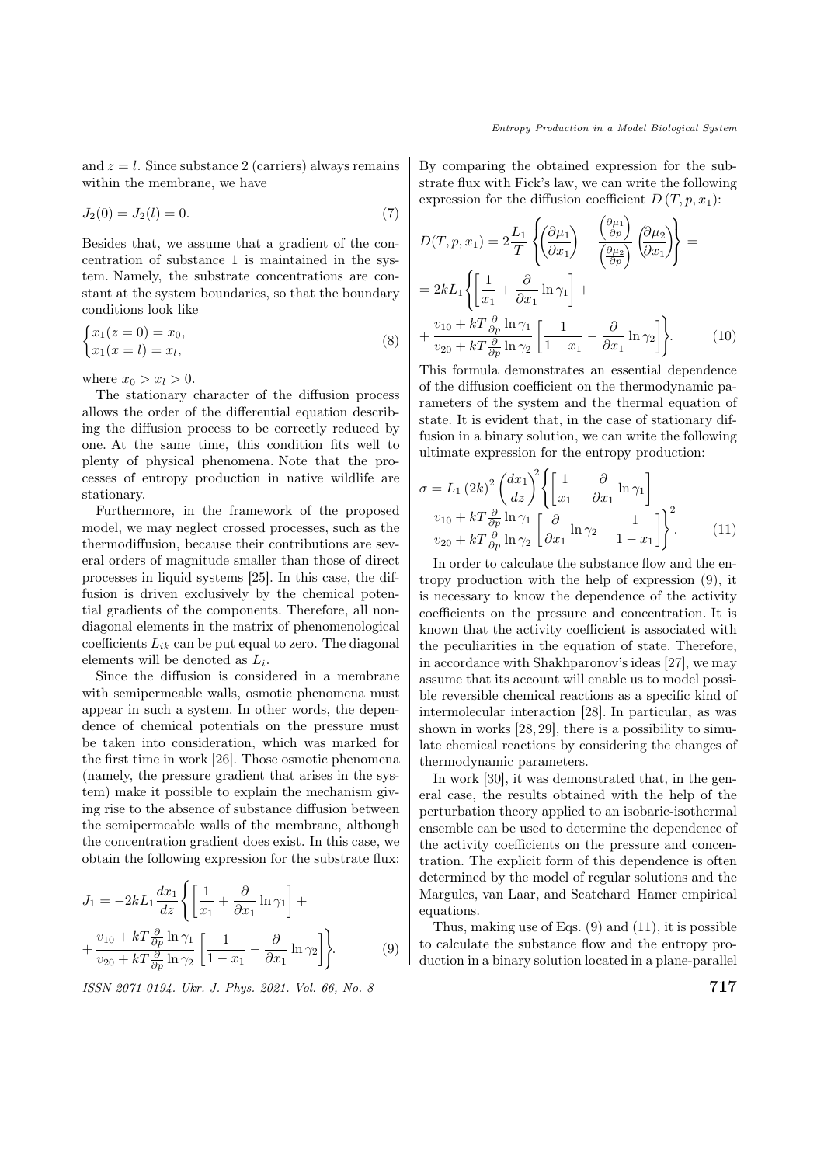and  $z = l$ . Since substance 2 (carriers) always remains within the membrane, we have

$$
J_2(0) = J_2(l) = 0.\t\t(7)
$$

Besides that, we assume that a gradient of the concentration of substance 1 is maintained in the system. Namely, the substrate concentrations are constant at the system boundaries, so that the boundary conditions look like

$$
\begin{cases} x_1(z=0) = x_0, \\ x_1(x=l) = x_l, \end{cases} \tag{8}
$$

where  $x_0 > x_l > 0$ .

The stationary character of the diffusion process allows the order of the differential equation describing the diffusion process to be correctly reduced by one. At the same time, this condition fits well to plenty of physical phenomena. Note that the processes of entropy production in native wildlife are stationary.

Furthermore, in the framework of the proposed model, we may neglect crossed processes, such as the thermodiffusion, because their contributions are several orders of magnitude smaller than those of direct processes in liquid systems [25]. In this case, the diffusion is driven exclusively by the chemical potential gradients of the components. Therefore, all nondiagonal elements in the matrix of phenomenological coefficients  $L_{ik}$  can be put equal to zero. The diagonal elements will be denoted as  $L_i$ .

Since the diffusion is considered in a membrane with semipermeable walls, osmotic phenomena must appear in such a system. In other words, the dependence of chemical potentials on the pressure must be taken into consideration, which was marked for the first time in work [26]. Those osmotic phenomena (namely, the pressure gradient that arises in the system) make it possible to explain the mechanism giving rise to the absence of substance diffusion between the semipermeable walls of the membrane, although the concentration gradient does exist. In this case, we obtain the following expression for the substrate flux:

$$
J_1 = -2kL_1 \frac{dx_1}{dz} \left\{ \left[ \frac{1}{x_1} + \frac{\partial}{\partial x_1} \ln \gamma_1 \right] + \frac{v_{10} + kT \frac{\partial}{\partial p} \ln \gamma_1}{v_{20} + kT \frac{\partial}{\partial p} \ln \gamma_2} \left[ \frac{1}{1 - x_1} - \frac{\partial}{\partial x_1} \ln \gamma_2 \right] \right\}.
$$
 (9)

 $\frac{1}{2}$  ISSN 2071-0194. Ukr. J. Phys. 2021. Vol. 66, No. 8  $\frac{1}{2}$ 

By comparing the obtained expression for the substrate flux with Fick's law, we can write the following expression for the diffusion coefficient  $D(T, p, x_1)$ :

$$
D(T, p, x_1) = 2 \frac{L_1}{T} \left\{ \left( \frac{\partial \mu_1}{\partial x_1} \right) - \frac{\left( \frac{\partial \mu_1}{\partial p} \right)}{\left( \frac{\partial \mu_2}{\partial p} \right)} \left( \frac{\partial \mu_2}{\partial x_1} \right) \right\} =
$$
  
= 2kL<sub>1</sub>  $\left\{ \left[ \frac{1}{x_1} + \frac{\partial}{\partial x_1} \ln \gamma_1 \right] +$   
+  $\frac{v_{10} + kT \frac{\partial}{\partial p} \ln \gamma_1}{v_{20} + kT \frac{\partial}{\partial p} \ln \gamma_2} \left[ \frac{1}{1 - x_1} - \frac{\partial}{\partial x_1} \ln \gamma_2 \right] \right\}.$  (10)

This formula demonstrates an essential dependence of the diffusion coefficient on the thermodynamic parameters of the system and the thermal equation of state. It is evident that, in the case of stationary diffusion in a binary solution, we can write the following ultimate expression for the entropy production:

$$
\sigma = L_1 (2k)^2 \left(\frac{dx_1}{dz}\right)^2 \left\{ \left[\frac{1}{x_1} + \frac{\partial}{\partial x_1} \ln \gamma_1 \right] - \frac{v_{10} + kT \frac{\partial}{\partial p} \ln \gamma_1}{v_{20} + kT \frac{\partial}{\partial p} \ln \gamma_2} \left[\frac{\partial}{\partial x_1} \ln \gamma_2 - \frac{1}{1 - x_1} \right] \right\}^2.
$$
 (11)

In order to calculate the substance flow and the entropy production with the help of expression (9), it is necessary to know the dependence of the activity coefficients on the pressure and concentration. It is known that the activity coefficient is associated with the peculiarities in the equation of state. Therefore, in accordance with Shakhparonov's ideas [27], we may assume that its account will enable us to model possible reversible chemical reactions as a specific kind of intermolecular interaction [28]. In particular, as was shown in works [28, 29], there is a possibility to simulate chemical reactions by considering the changes of thermodynamic parameters.

In work [30], it was demonstrated that, in the general case, the results obtained with the help of the perturbation theory applied to an isobaric-isothermal ensemble can be used to determine the dependence of the activity coefficients on the pressure and concentration. The explicit form of this dependence is often determined by the model of regular solutions and the Margules, van Laar, and Scatchard–Hamer empirical equations.

Thus, making use of Eqs. (9) and (11), it is possible to calculate the substance flow and the entropy production in a binary solution located in a plane-parallel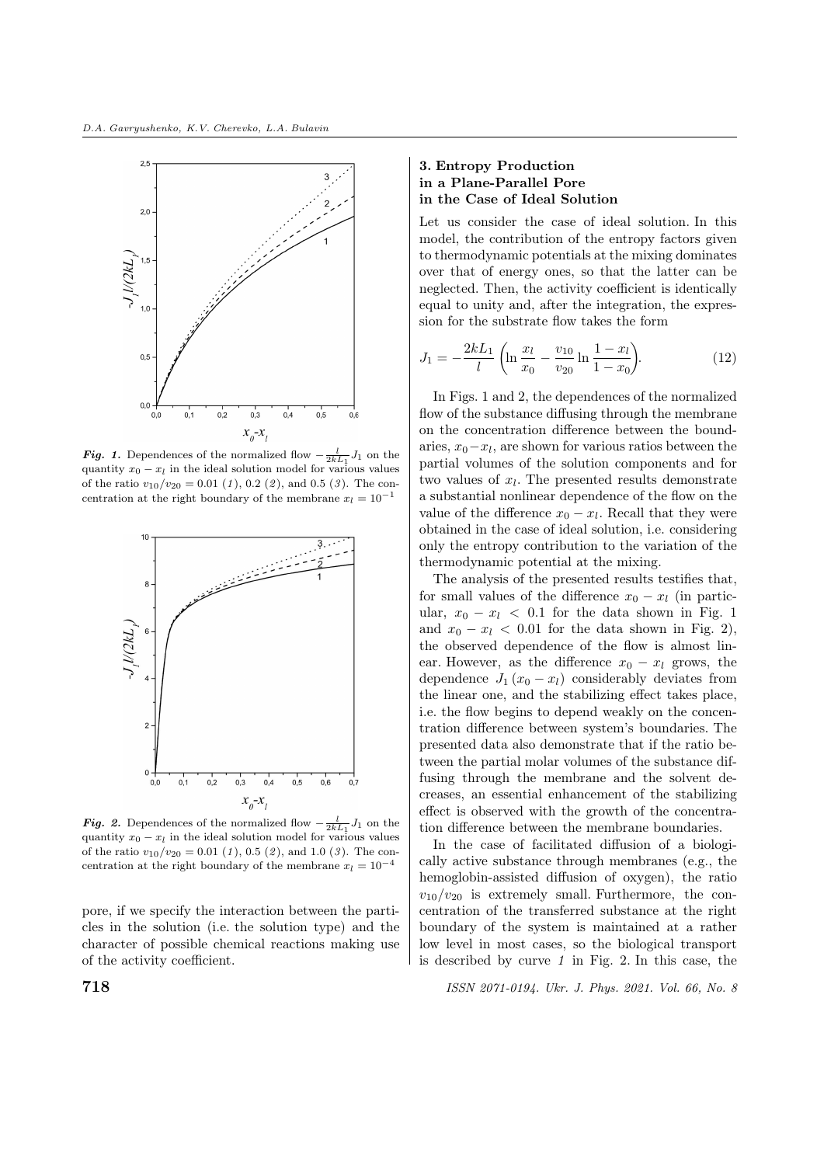

**Fig. 1.** Dependences of the normalized flow  $-\frac{l}{2kL_1}J_1$  on the quantity  $x_0 - x_l$  in the ideal solution model for various values of the ratio  $v_{10}/v_{20} = 0.01$  (1), 0.2 (2), and 0.5 (3). The concentration at the right boundary of the membrane  $x_l = 10^{-1}$ 



**Fig. 2.** Dependences of the normalized flow  $-\frac{l}{2kL_1}J_1$  on the quantity  $x_0 - x_l$  in the ideal solution model for various values of the ratio  $v_{10}/v_{20} = 0.01$  (1), 0.5 (2), and 1.0 (3). The concentration at the right boundary of the membrane  $x_l = 10^{-4}$ 

pore, if we specify the interaction between the particles in the solution (i.e. the solution type) and the character of possible chemical reactions making use of the activity coefficient.

#### 3. Entropy Production in a Plane-Parallel Pore in the Case of Ideal Solution

Let us consider the case of ideal solution. In this model, the contribution of the entropy factors given to thermodynamic potentials at the mixing dominates over that of energy ones, so that the latter can be neglected. Then, the activity coefficient is identically equal to unity and, after the integration, the expression for the substrate flow takes the form

$$
J_1 = -\frac{2kL_1}{l} \left( \ln \frac{x_l}{x_0} - \frac{v_{10}}{v_{20}} \ln \frac{1 - x_l}{1 - x_0} \right).
$$
 (12)

In Figs. 1 and 2, the dependences of the normalized flow of the substance diffusing through the membrane on the concentration difference between the boundaries,  $x_0 - x_l$ , are shown for various ratios between the partial volumes of the solution components and for two values of  $x_l$ . The presented results demonstrate a substantial nonlinear dependence of the flow on the value of the difference  $x_0 - x_l$ . Recall that they were obtained in the case of ideal solution, i.e. considering only the entropy contribution to the variation of the thermodynamic potential at the mixing.

The analysis of the presented results testifies that, for small values of the difference  $x_0 - x_l$  (in particular,  $x_0 - x_l$  < 0.1 for the data shown in Fig. 1 and  $x_0 - x_l < 0.01$  for the data shown in Fig. 2), the observed dependence of the flow is almost linear. However, as the difference  $x_0 - x_l$  grows, the dependence  $J_1(x_0 - x_l)$  considerably deviates from the linear one, and the stabilizing effect takes place, i.e. the flow begins to depend weakly on the concentration difference between system's boundaries. The presented data also demonstrate that if the ratio between the partial molar volumes of the substance diffusing through the membrane and the solvent decreases, an essential enhancement of the stabilizing effect is observed with the growth of the concentration difference between the membrane boundaries.

In the case of facilitated diffusion of a biologically active substance through membranes (e.g., the hemoglobin-assisted diffusion of oxygen), the ratio  $v_{10}/v_{20}$  is extremely small. Furthermore, the concentration of the transferred substance at the right boundary of the system is maintained at a rather low level in most cases, so the biological transport is described by curve  $1$  in Fig. 2. In this case, the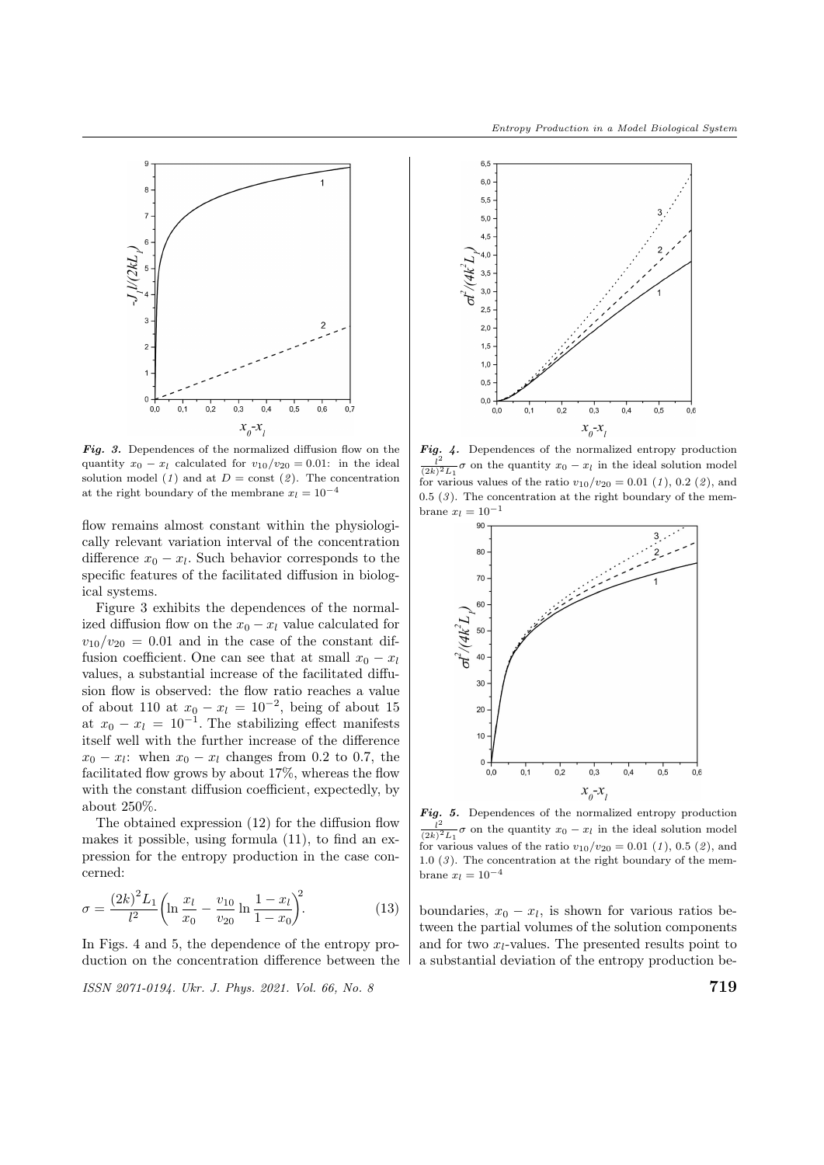

Fig. 3. Dependences of the normalized diffusion flow on the quantity  $x_0 - x_l$  calculated for  $v_{10}/v_{20} = 0.01$ : in the ideal solution model (1) and at  $D = \text{const}$  (2). The concentration at the right boundary of the membrane  $x_l = 10^{-4}$ 

flow remains almost constant within the physiologically relevant variation interval of the concentration difference  $x_0 - x_l$ . Such behavior corresponds to the specific features of the facilitated diffusion in biological systems.

Figure 3 exhibits the dependences of the normalized diffusion flow on the  $x_0 - x_l$  value calculated for  $v_{10}/v_{20} = 0.01$  and in the case of the constant diffusion coefficient. One can see that at small  $x_0 - x_l$ values, a substantial increase of the facilitated diffusion flow is observed: the flow ratio reaches a value of about 110 at  $x_0 - x_l = 10^{-2}$ , being of about 15 at  $x_0 - x_l = 10^{-1}$ . The stabilizing effect manifests itself well with the further increase of the difference  $x_0 - x_l$ : when  $x_0 - x_l$  changes from 0.2 to 0.7, the facilitated flow grows by about 17%, whereas the flow with the constant diffusion coefficient, expectedly, by about 250%.

The obtained expression (12) for the diffusion flow makes it possible, using formula (11), to find an expression for the entropy production in the case concerned:

$$
\sigma = \frac{(2k)^2 L_1}{l^2} \left( \ln \frac{x_l}{x_0} - \frac{v_{10}}{v_{20}} \ln \frac{1 - x_l}{1 - x_0} \right)^2.
$$
 (13)

In Figs. 4 and 5, the dependence of the entropy production on the concentration difference between the

$$
ISSN 2071-0194. \; Ukr. \; J. \; Phys. \; 2021. \; Vol. \; 66, \; No. \; 8
$$



**Fig.** 4. Dependences of the normalized entropy production  $l^2$  $\frac{l^2}{(2k)^2 L_1} \sigma$  on the quantity  $x_0 - x_l$  in the ideal solution model for various values of the ratio  $v_{10}/v_{20} = 0.01$  (1), 0.2 (2), and  $0.5$   $(3)$ . The concentration at the right boundary of the membrane  $x_l = 10^{-1}$ 



**Fig.** 5. Dependences of the normalized entropy production  $l^2$  $\frac{l^2}{(2k)^2 L_1} \sigma$  on the quantity  $x_0 - x_l$  in the ideal solution model for various values of the ratio  $v_{10}/v_{20} = 0.01$  (1), 0.5 (2), and 1.0  $(3)$ . The concentration at the right boundary of the membrane  $x_l = 10^{-4}$ 

boundaries,  $x_0 - x_l$ , is shown for various ratios between the partial volumes of the solution components and for two  $x_l$ -values. The presented results point to a substantial deviation of the entropy production be-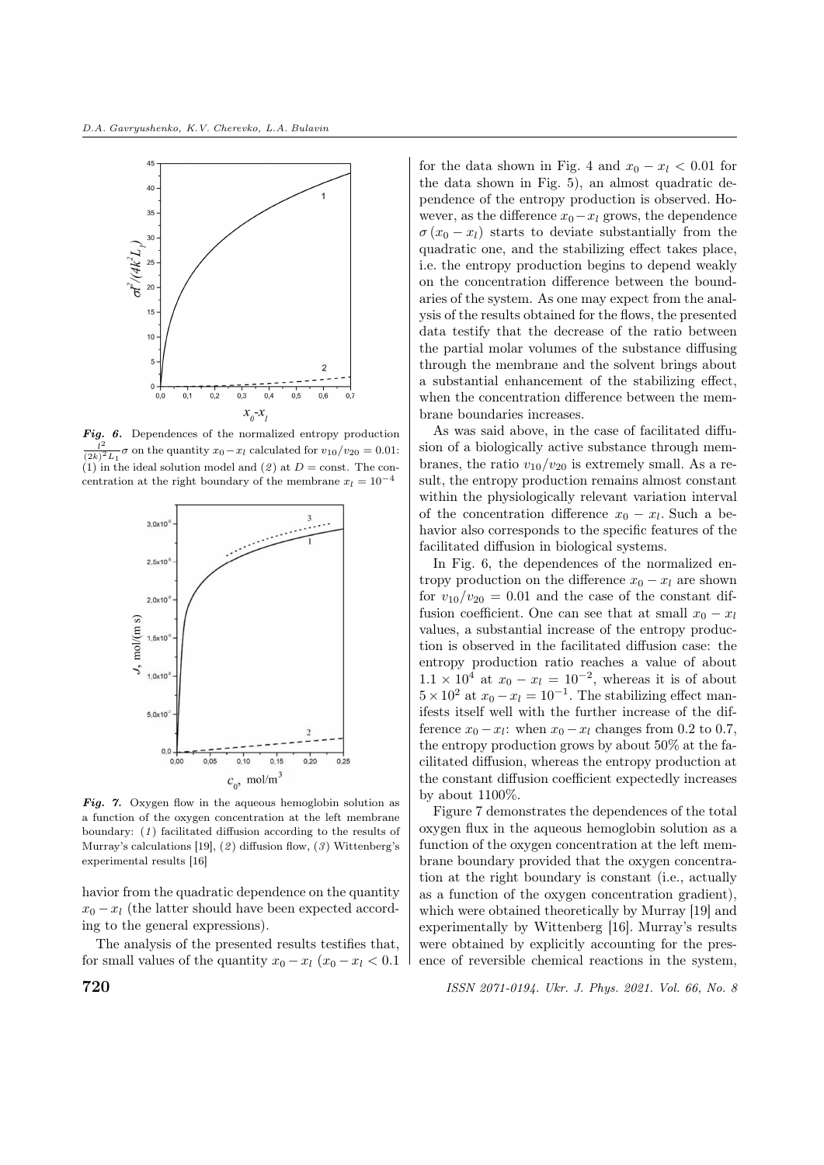

**Fig. 6.** Dependences of the normalized entropy production  $l^2$  as an the quantity  $x_0$ ,  $x_0$  calculated for  $y_{12}/x_{23} = 0.01$ .  $\frac{l^2}{(2k)^2 L_1}$  *o* on the quantity  $x_0 - x_l$  calculated for  $v_{10}/v_{20} = 0.01$ : (1) in the ideal solution model and (2) at  $D = \text{const.}$  The concentration at the right boundary of the membrane  $x_l = 10^{-4}$ 



Fig. 7. Oxygen flow in the aqueous hemoglobin solution as a function of the oxygen concentration at the left membrane boundary: (1) facilitated diffusion according to the results of Murray's calculations [19], (2) diffusion flow, (3) Wittenberg's experimental results [16]

havior from the quadratic dependence on the quantity  $x_0 - x_l$  (the latter should have been expected according to the general expressions).

The analysis of the presented results testifies that, for small values of the quantity  $x_0 - x_l$  ( $x_0 - x_l < 0.1$ ) for the data shown in Fig. 4 and  $x_0 - x_l < 0.01$  for the data shown in Fig. 5), an almost quadratic dependence of the entropy production is observed. However, as the difference  $x_0 - x_l$  grows, the dependence  $\sigma(x_0 - x_l)$  starts to deviate substantially from the quadratic one, and the stabilizing effect takes place, i.e. the entropy production begins to depend weakly on the concentration difference between the boundaries of the system. As one may expect from the analysis of the results obtained for the flows, the presented data testify that the decrease of the ratio between the partial molar volumes of the substance diffusing through the membrane and the solvent brings about a substantial enhancement of the stabilizing effect, when the concentration difference between the membrane boundaries increases.

As was said above, in the case of facilitated diffusion of a biologically active substance through membranes, the ratio  $v_{10}/v_{20}$  is extremely small. As a result, the entropy production remains almost constant within the physiologically relevant variation interval of the concentration difference  $x_0 - x_l$ . Such a behavior also corresponds to the specific features of the facilitated diffusion in biological systems.

In Fig. 6, the dependences of the normalized entropy production on the difference  $x_0 - x_l$  are shown for  $v_{10}/v_{20} = 0.01$  and the case of the constant diffusion coefficient. One can see that at small  $x_0 - x_l$ values, a substantial increase of the entropy production is observed in the facilitated diffusion case: the entropy production ratio reaches a value of about  $1.1 \times 10^4$  at  $x_0 - x_l = 10^{-2}$ , whereas it is of about  $5 \times 10^2$  at  $x_0 - x_l = 10^{-1}$ . The stabilizing effect manifests itself well with the further increase of the difference  $x_0 - x_l$ : when  $x_0 - x_l$  changes from 0.2 to 0.7, the entropy production grows by about 50% at the facilitated diffusion, whereas the entropy production at the constant diffusion coefficient expectedly increases by about 1100%.

Figure 7 demonstrates the dependences of the total oxygen flux in the aqueous hemoglobin solution as a function of the oxygen concentration at the left membrane boundary provided that the oxygen concentration at the right boundary is constant (i.e., actually as a function of the oxygen concentration gradient), which were obtained theoretically by Murray [19] and experimentally by Wittenberg [16]. Murray's results were obtained by explicitly accounting for the presence of reversible chemical reactions in the system,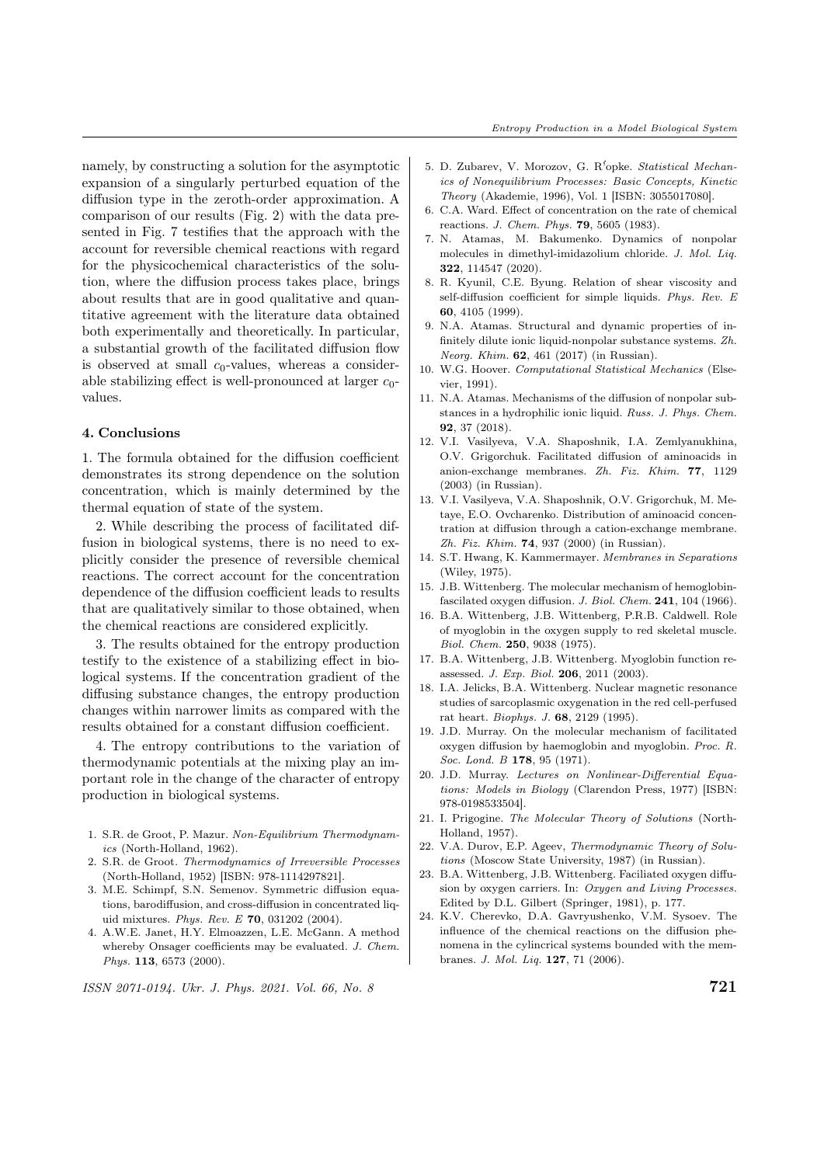namely, by constructing a solution for the asymptotic expansion of a singularly perturbed equation of the diffusion type in the zeroth-order approximation. A comparison of our results (Fig. 2) with the data presented in Fig. 7 testifies that the approach with the account for reversible chemical reactions with regard for the physicochemical characteristics of the solution, where the diffusion process takes place, brings about results that are in good qualitative and quantitative agreement with the literature data obtained both experimentally and theoretically. In particular, a substantial growth of the facilitated diffusion flow is observed at small  $c_0$ -values, whereas a considerable stabilizing effect is well-pronounced at larger  $c_0$ values.

#### 4. Conclusions

1. The formula obtained for the diffusion coefficient demonstrates its strong dependence on the solution concentration, which is mainly determined by the thermal equation of state of the system.

2. While describing the process of facilitated diffusion in biological systems, there is no need to explicitly consider the presence of reversible chemical reactions. The correct account for the concentration dependence of the diffusion coefficient leads to results that are qualitatively similar to those obtained, when the chemical reactions are considered explicitly.

3. The results obtained for the entropy production testify to the existence of a stabilizing effect in biological systems. If the concentration gradient of the diffusing substance changes, the entropy production changes within narrower limits as compared with the results obtained for a constant diffusion coefficient.

4. The entropy contributions to the variation of thermodynamic potentials at the mixing play an important role in the change of the character of entropy production in biological systems.

- 1. S.R. de Groot, P. Mazur. Non-Equilibrium Thermodynamics (North-Holland, 1962).
- 2. S.R. de Groot. Thermodynamics of Irreversible Processes (North-Holland, 1952) [ISBN: 978-1114297821].
- 3. M.E. Schimpf, S.N. Semenov. Symmetric diffusion equations, barodiffusion, and cross-diffusion in concentrated liquid mixtures. Phys. Rev. E 70, 031202 (2004).
- 4. A.W.E. Janet, H.Y. Elmoazzen, L.E. McGann. A method whereby Onsager coefficients may be evaluated. J. Chem. Phys. **113**, 6573 (2000).
- 5. D. Zubarev, V. Morozov, G. R<sup>5</sup>opke. Statistical Mechanics of Nonequilibrium Processes: Basic Concepts, Kinetic Theory (Akademie, 1996), Vol. 1 [ISBN: 3055017080].
- 6. C.A. Ward. Effect of concentration on the rate of chemical reactions. J. Chem. Phys. 79, 5605 (1983).
- 7. N. Atamas, M. Bakumenko. Dynamics of nonpolar molecules in dimethyl-imidazolium chloride. J. Mol. Liq. 322, 114547 (2020).
- 8. R. Kyunil, C.E. Byung. Relation of shear viscosity and self-diffusion coefficient for simple liquids. Phys. Rev. E 60, 4105 (1999).
- 9. N.A. Atamas. Structural and dynamic properties of infinitely dilute ionic liquid-nonpolar substance systems. Zh. Neorg. Khim. 62, 461 (2017) (in Russian).
- 10. W.G. Hoover. Computational Statistical Mechanics (Elsevier, 1991).
- 11. N.A. Atamas. Mechanisms of the diffusion of nonpolar substances in a hydrophilic ionic liquid. Russ. J. Phys. Chem. 92, 37 (2018).
- 12. V.I. Vasilyeva, V.A. Shaposhnik, I.A. Zemlyanukhina, O.V. Grigorchuk. Facilitated diffusion of aminoacids in anion-exchange membranes. Zh. Fiz. Khim. 77, 1129 (2003) (in Russian).
- 13. V.I. Vasilyeva, V.A. Shaposhnik, O.V. Grigorchuk, M. Metaye, E.O. Ovcharenko. Distribution of aminoacid concentration at diffusion through a cation-exchange membrane. Zh. Fiz. Khim. 74, 937 (2000) (in Russian).
- 14. S.T. Hwang, K. Kammermayer. Membranes in Separations (Wiley, 1975).
- 15. J.B. Wittenberg. The molecular mechanism of hemoglobinfascilated oxygen diffusion. J. Biol. Chem. 241, 104 (1966).
- 16. B.A. Wittenberg, J.B. Wittenberg, P.R.B. Caldwell. Role of myoglobin in the oxygen supply to red skeletal muscle. Biol. Chem. 250, 9038 (1975).
- 17. B.A. Wittenberg, J.B. Wittenberg. Myoglobin function reassessed. J. Exp. Biol. 206, 2011 (2003).
- 18. I.A. Jelicks, B.A. Wittenberg. Nuclear magnetic resonance studies of sarcoplasmic oxygenation in the red cell-perfused rat heart. Biophys. J. 68, 2129 (1995).
- 19. J.D. Murray. On the molecular mechanism of facilitated oxygen diffusion by haemoglobin and myoglobin. Proc. R. Soc. Lond. B 178, 95 (1971).
- 20. J.D. Murray. Lectures on Nonlinear-Differential Equations: Models in Biology (Clarendon Press, 1977) [ISBN: 978-0198533504].
- 21. I. Prigogine. The Molecular Theory of Solutions (North-Holland, 1957).
- 22. V.A. Durov, E.P. Ageev, Thermodynamic Theory of Solutions (Moscow State University, 1987) (in Russian).
- 23. B.A. Wittenberg, J.B. Wittenberg. Faciliated oxygen diffusion by oxygen carriers. In: Oxygen and Living Processes. Edited by D.L. Gilbert (Springer, 1981), p. 177.
- 24. K.V. Cherevko, D.A. Gavryushenko, V.M. Sysoev. The influence of the chemical reactions on the diffusion phenomena in the cylincrical systems bounded with the membranes. J. Mol. Liq. 127, 71 (2006).